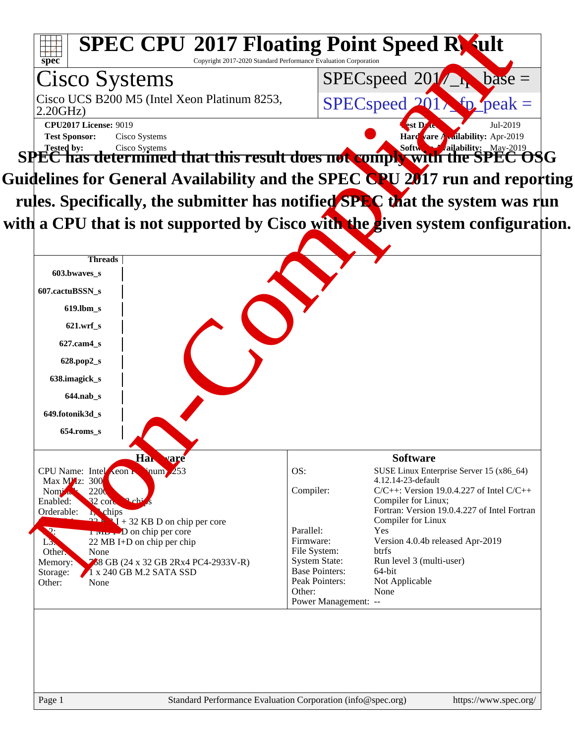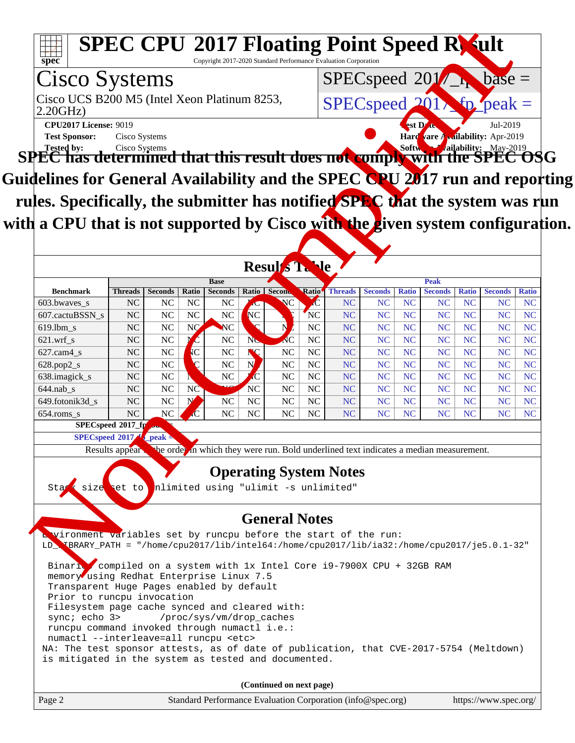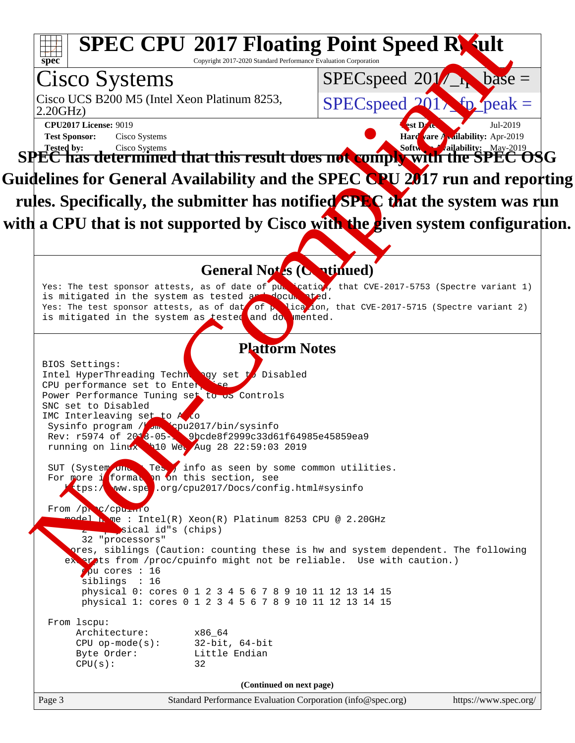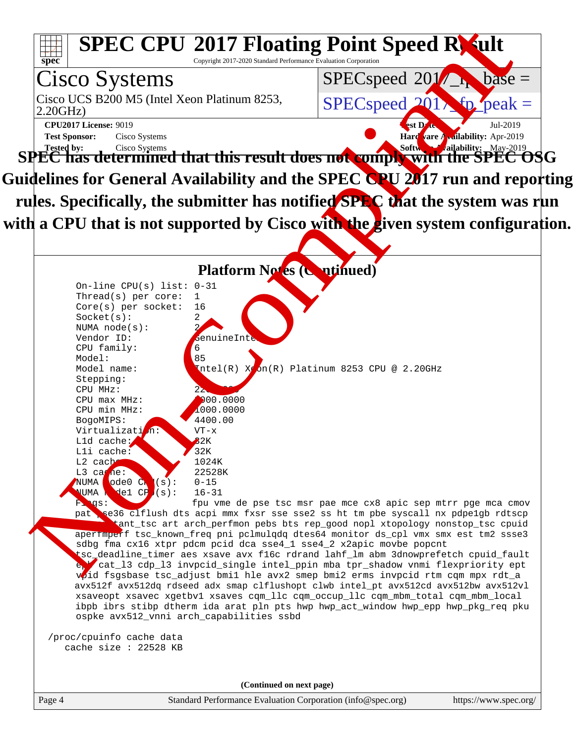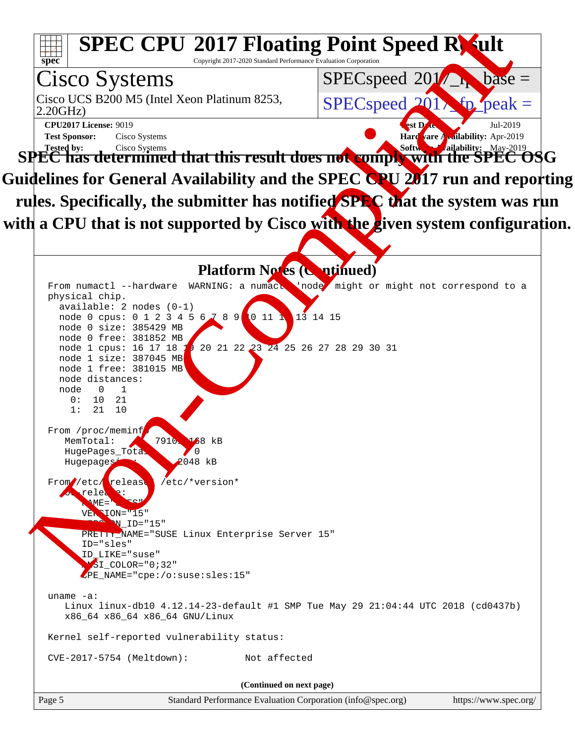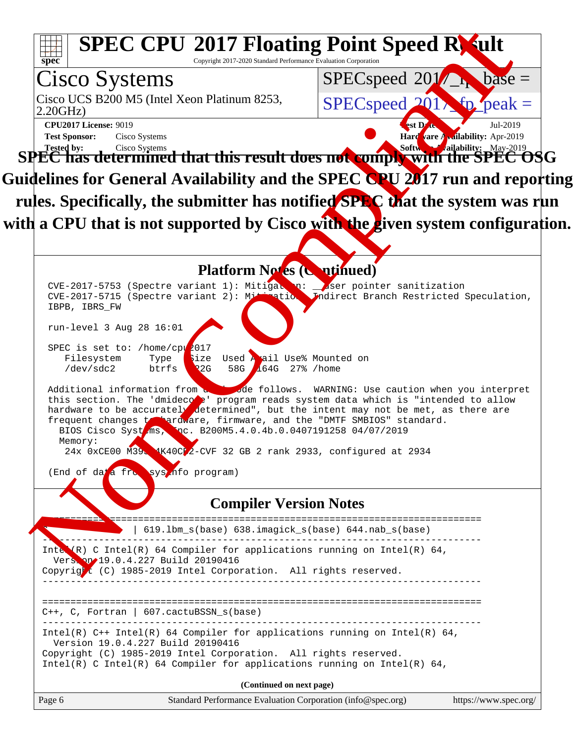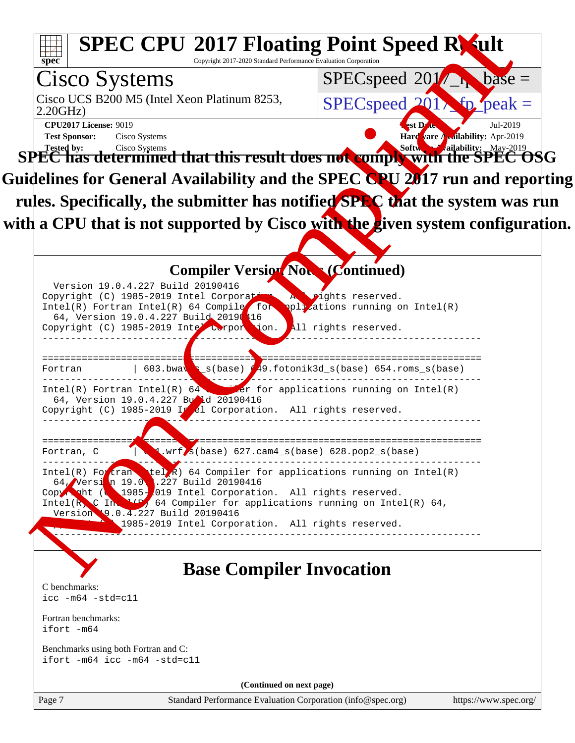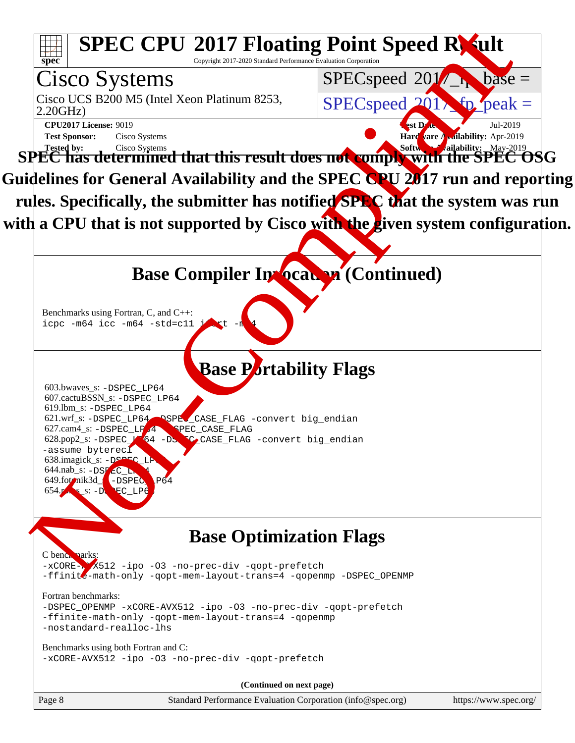